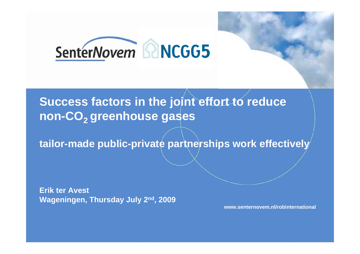

# **Success factors in the joint effort to reduce**  non-CO<sub>2</sub> greenhouse gases

**tailor-made public-private partnerships work effectively**

**Erik ter Avest Wageningen, Thursday July 2nd, 2009**

**www.senternovem.nl/robinternational**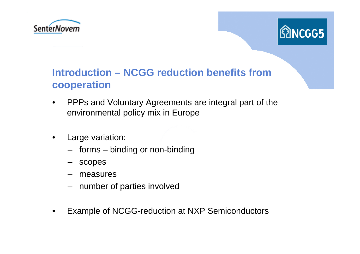



# **Introduction – NCGG reduction benefits fromcooperation**

- $\bullet$  PPPs and Voluntary Agreements are integral part of the environmental policy mix in Europe
- $\bullet$  Large variation:
	- forms binding or non-binding
	- scopes
	- measures
	- number of parties involved
- •Example of NCGG-reduction at NXP Semiconductors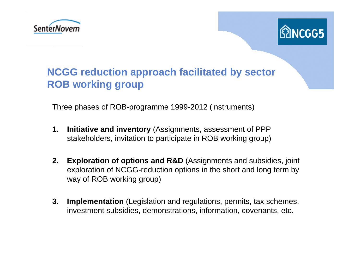



# **NCGG reduction approach facilitated by sector ROB working group**

Three phases of ROB-programme 1999-2012 (instruments)

- **1. Initiative and inventory** (Assignments, assessment of PPP stakeholders, invitation to participate in ROB working group)
- **2. Exploration of options and R&D** (Assignments and subsidies, joint exploration of NCGG-reduction options in the short and long term by way of ROB working group)
- **3. Implementation** (Legislation and regulations, permits, tax schemes, investment subsidies, demonstrations, information, covenants, etc.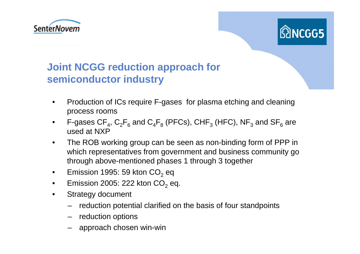



# **Joint NCGG reduction approach for semiconductor industry**

- • Production of ICs require F-gases for plasma etching and cleaning process rooms
- $\bullet$ F-gases CF $_{4}$ , C $_{2}$ F $_{6}$  and C $_{4}$ F $_{8}$  (PFCs), CHF $_{3}$  (HFC), NF $_{3}$  and SF $_{6}$  are used at NXP
- • The ROB working group can be seen as non-binding form of PPP in which representatives from government and business community go through above-mentioned phases 1 through 3 together
- $\bullet$ Emission 1995: 59 kton CO $_2$  eq
- •Emission 2005: 222 kton CO $_2$  eq.
- $\bullet$  Strategy document
	- reduction potential clarified on the basis of four standpoints
	- reduction options
	- approach chosen win-win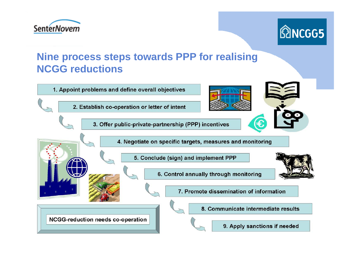



# **Nine process steps towards PPP for realising NCGG reductions**

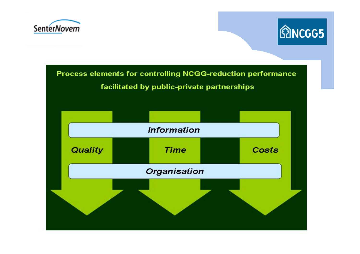



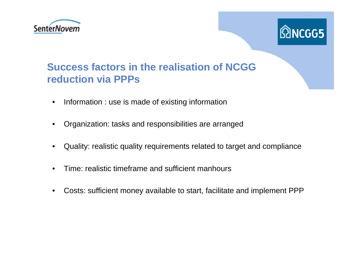



### **Success factors in the realisation of NCGG reduction via PPPs**

- $\bullet$ Information : use is made of existing information
- •Organization: tasks and responsibilities are arranged
- $\bullet$ Quality: realistic quality requirements related to target and compliance
- •Time: realistic timeframe and sufficient manhours
- •Costs: sufficient money available to start, facilitate and implement PPP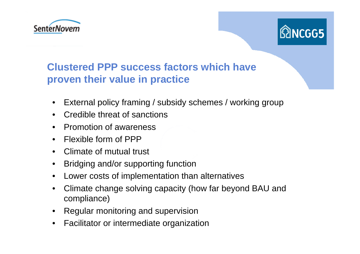



### **Clustered PPP success factors which have proven their value in practice**

- $\bullet$ External policy framing / subsidy schemes / working group
- $\bullet$ Credible threat of sanctions
- $\bullet$ Promotion of awareness
- $\bullet$ Flexible form of PPP
- $\bullet$ Climate of mutual trust
- $\bullet$ Bridging and/or supporting function
- $\bullet$ Lower costs of implementation than alternatives
- $\bullet$  Climate change solving capacity (how far beyond BAU and compliance)
- $\bullet$ Regular monitoring and supervision
- $\bullet$ Facilitator or intermediate organization